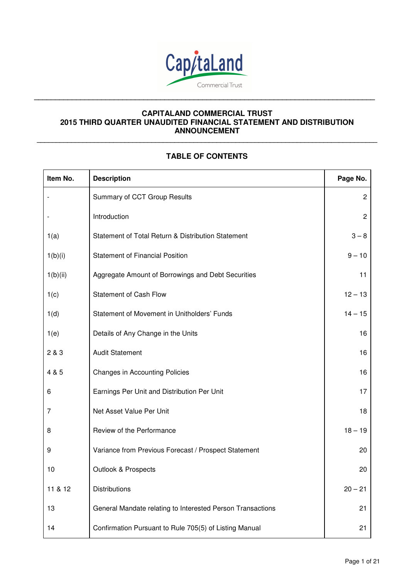

**\_\_\_\_\_\_\_\_\_\_\_\_\_\_\_\_\_\_\_\_\_\_\_\_\_\_\_\_\_\_\_\_\_\_\_\_\_\_\_\_\_\_\_\_\_\_\_\_\_\_\_\_\_\_\_\_\_\_\_\_\_\_\_\_\_\_\_\_\_\_\_\_\_\_\_\_\_\_\_\_\_** 

# **CAPITALAND COMMERCIAL TRUST 2015 THIRD QUARTER UNAUDITED FINANCIAL STATEMENT AND DISTRIBUTION ANNOUNCEMENT**

# **TABLE OF CONTENTS**

**\_\_\_\_\_\_\_\_\_\_\_\_\_\_\_\_\_\_\_\_\_\_\_\_\_\_\_\_\_\_\_\_\_\_\_\_\_\_\_\_\_\_\_\_\_\_\_\_\_\_\_\_\_\_\_\_\_\_\_\_\_\_\_\_\_\_\_\_\_\_\_\_\_\_\_\_\_\_\_\_\_\_\_\_\_\_\_\_\_**

| Item No. | <b>Description</b>                                         | Page No.       |
|----------|------------------------------------------------------------|----------------|
|          | Summary of CCT Group Results                               | $\overline{c}$ |
|          | Introduction                                               | $\overline{c}$ |
| 1(a)     | Statement of Total Return & Distribution Statement         | $3 - 8$        |
| 1(b)(i)  | <b>Statement of Financial Position</b>                     | $9 - 10$       |
| 1(b)(ii) | Aggregate Amount of Borrowings and Debt Securities         | 11             |
| 1(c)     | <b>Statement of Cash Flow</b>                              | $12 - 13$      |
| 1(d)     | Statement of Movement in Unitholders' Funds                | $14 - 15$      |
| 1(e)     | Details of Any Change in the Units                         | 16             |
| 2 & 3    | <b>Audit Statement</b>                                     | 16             |
| 4 & 5    | <b>Changes in Accounting Policies</b>                      | 16             |
| 6        | Earnings Per Unit and Distribution Per Unit                | 17             |
| 7        | Net Asset Value Per Unit                                   | 18             |
| 8        | Review of the Performance                                  | $18 - 19$      |
| 9        | Variance from Previous Forecast / Prospect Statement       | 20             |
| 10       | <b>Outlook &amp; Prospects</b>                             | 20             |
| 11 & 12  | <b>Distributions</b>                                       | $20 - 21$      |
| 13       | General Mandate relating to Interested Person Transactions | 21             |
| 14       | Confirmation Pursuant to Rule 705(5) of Listing Manual     | 21             |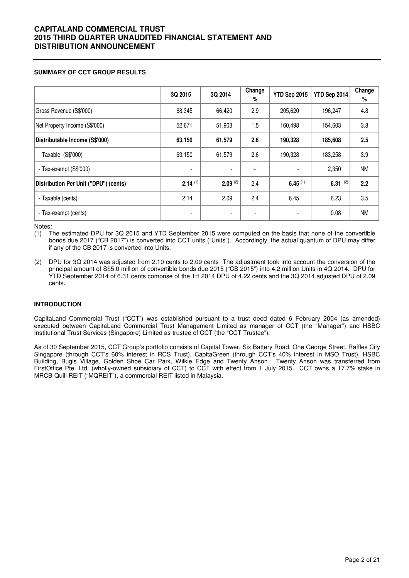### **SUMMARY OF CCT GROUP RESULTS**

|                                       | 3Q 2015        | 3Q 2014        | Change<br>% | YTD Sep 2015 | YTD Sep 2014 | Change<br>$\%$ |
|---------------------------------------|----------------|----------------|-------------|--------------|--------------|----------------|
| Gross Revenue (S\$'000)               | 68,345         | 66,420         | 2.9         | 205,620      | 196,247      | 4.8            |
| Net Property Income (S\$'000)         | 52,671         | 51,903         | 1.5         | 160,498      | 154,603      | 3.8            |
| Distributable Income (S\$'000)        | 63,150         | 61,579         | 2.6         | 190,328      | 185,608      | 2.5            |
| - Taxable $(S$'000)$                  | 63,150         | 61,579         | 2.6         | 190,328      | 183,258      | 3.9            |
| - Tax-exempt (S\$'000)                | $\blacksquare$ |                |             |              | 2,350        | <b>NM</b>      |
| Distribution Per Unit ("DPU") (cents) | $2.14^{(1)}$   | $2.09^{(2)}$   | 2.4         | $6.45^{(1)}$ | 6.31 $(2)$   | 2.2            |
| - Taxable (cents)                     | 2.14           | 2.09           | 2.4         | 6.45         | 6.23         | 3.5            |
| - Tax-exempt (cents)                  | $\blacksquare$ | $\blacksquare$ |             |              | 0.08         | <b>NM</b>      |

Notes:

(1) The estimated DPU for 3Q 2015 and YTD September 2015 were computed on the basis that none of the convertible bonds due 2017 ("CB 2017") is converted into CCT units ("Units"). Accordingly, the actual quantum of DPU may differ if any of the CB 2017 is converted into Units.

(2) DPU for 3Q 2014 was adjusted from 2.10 cents to 2.09 cents The adjustment took into account the conversion of the principal amount of S\$5.0 million of convertible bonds due 2015 ("CB 2015") into 4.2 million Units in 4Q 2014. DPU for YTD September 2014 of 6.31 cents comprise of the 1H 2014 DPU of 4.22 cents and the 3Q 2014 adjusted DPU of 2.09 cents.

### **INTRODUCTION**

CapitaLand Commercial Trust ("CCT") was established pursuant to a trust deed dated 6 February 2004 (as amended) executed between CapitaLand Commercial Trust Management Limited as manager of CCT (the "Manager") and HSBC Institutional Trust Services (Singapore) Limited as trustee of CCT (the "CCT Trustee").

As of 30 September 2015, CCT Group's portfolio consists of Capital Tower, Six Battery Road, One George Street, Raffles City Singapore (through CCT's 60% interest in RCS Trust), CapitaGreen (through CCT's 40% interest in MSO Trust), HSBC Building, Bugis Village, Golden Shoe Car Park, Wilkie Edge and Twenty Anson. Twenty Anson was transferred from FirstOffice Pte. Ltd. (wholly-owned subsidiary of CCT) to CCT with effect from 1 July 2015. CCT owns a 17.7% stake in MRCB-Quill REIT ("MQREIT"), a commercial REIT listed in Malaysia.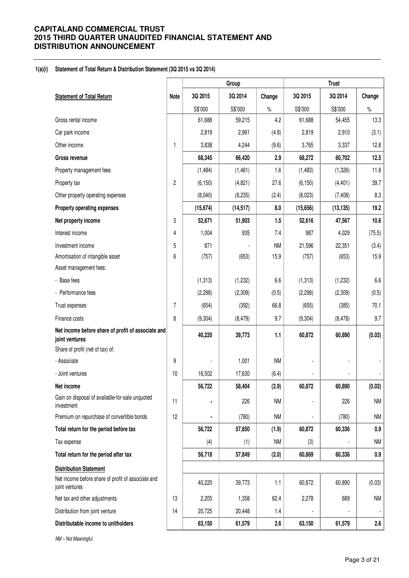#### **1(a)(i) Statement of Total Return & Distribution Statement (3Q 2015 vs 3Q 2014)**

|                                                                      |                |           | Group     |           |           | <b>Trust</b> |           |
|----------------------------------------------------------------------|----------------|-----------|-----------|-----------|-----------|--------------|-----------|
| <b>Statement of Total Return</b>                                     | <b>Note</b>    | 3Q 2015   | 3Q 2014   | Change    | 3Q 2015   | 3Q 2014      | Change    |
|                                                                      |                | S\$'000   | S\$'000   | $\%$      | S\$'000   | S\$'000      | $\%$      |
| Gross rental income                                                  |                | 61,688    | 59,215    | 4.2       | 61,688    | 54,455       | 13.3      |
| Car park income                                                      |                | 2,819     | 2,961     | (4.8)     | 2,819     | 2,910        | (3.1)     |
| Other income                                                         | 1              | 3,838     | 4,244     | (9.6)     | 3,765     | 3,337        | 12.8      |
| <b>Gross revenue</b>                                                 |                | 68,345    | 66,420    | 2.9       | 68,272    | 60,702       | 12.5      |
| Property management fees                                             |                | (1,484)   | (1,461)   | 1.6       | (1,483)   | (1,326)      | 11.8      |
| Property tax                                                         | $\overline{c}$ | (6, 150)  | (4,821)   | 27.6      | (6, 150)  | (4, 401)     | 39.7      |
| Other property operating expenses                                    |                | (8,040)   | (8, 235)  | (2.4)     | (8,023)   | (7, 408)     | 8.3       |
| Property operating expenses                                          |                | (15, 674) | (14, 517) | 8.0       | (15, 656) | (13, 135)    | 19.2      |
| Net property income                                                  | 3              | 52,671    | 51,903    | 1.5       | 52,616    | 47,567       | 10.6      |
| Interest income                                                      | 4              | 1,004     | 935       | 7.4       | 987       | 4,029        | (75.5)    |
| Investment income                                                    | 5              | 871       |           | <b>NM</b> | 21,596    | 22,351       | (3.4)     |
| Amortisation of intangible asset                                     | 6              | (757)     | (653)     | 15.9      | (757)     | (653)        | 15.9      |
| Asset management fees:                                               |                |           |           |           |           |              |           |
| - Base fees                                                          |                | (1, 313)  | (1, 232)  | 6.6       | (1, 313)  | (1,232)      | 6.6       |
| - Performance fees                                                   |                | (2,298)   | (2,309)   | (0.5)     | (2, 298)  | (2,309)      | (0.5)     |
| Trust expenses                                                       | 7              | (654)     | (392)     | 66.8      | (655)     | (385)        | 70.1      |
| Finance costs                                                        | 8              | (9, 304)  | (8, 479)  | 9.7       | (9, 304)  | (8, 478)     | 9.7       |
| Net income before share of profit of associate and<br>joint ventures |                | 40,220    | 39,773    | 1.1       | 60,872    | 60,890       | (0.03)    |
| Share of profit (net of tax) of:                                     |                |           |           |           |           |              |           |
| - Associate                                                          | 9              |           | 1,001     | <b>NM</b> |           |              |           |
| - Joint ventures                                                     | 10             | 16,502    | 17,630    | (6.4)     |           |              |           |
| Net income                                                           |                | 56,722    | 58,404    | (2.9)     | 60,872    | 60,890       | (0.03)    |
| Gain on disposal of available-for-sale unquoted<br>investment        | 11             |           | 226       | <b>NM</b> |           | 226          | <b>NM</b> |
| Premium on repurchase of convertible bonds                           | 12             | ۰         | (780)     | <b>NM</b> | ÷,        | (780)        | <b>NM</b> |
| Total return for the period before tax                               |                | 56,722    | 57,850    | (1.9)     | 60,872    | 60,336       | 0.9       |
| Tax expense                                                          |                | (4)       | (1)       | <b>NM</b> | (3)       |              | <b>NM</b> |
| Total return for the period after tax                                |                | 56,718    | 57,849    | (2.0)     | 60,869    | 60,336       | 0.9       |
| <b>Distribution Statement</b>                                        |                |           |           |           |           |              |           |
| Net income before share of profit of associate and<br>joint ventures |                | 40,220    | 39,773    | 1.1       | 60,872    | 60,890       | (0.03)    |
| Net tax and other adjustments                                        | 13             | 2,205     | 1,358     | 62.4      | 2,278     | 689          | <b>NM</b> |
| Distribution from joint venture                                      | 14             | 20,725    | 20,448    | 1.4       |           |              |           |
| Distributable income to unitholders                                  |                | 63,150    | 61,579    | 2.6       | 63,150    | 61,579       | 2.6       |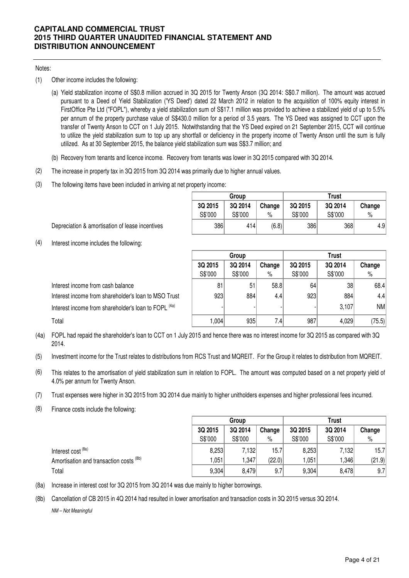### Notes:

- (1) Other income includes the following:
	- (a) Yield stabilization income of S\$0.8 million accrued in 3Q 2015 for Twenty Anson (3Q 2014: S\$0.7 million). The amount was accrued pursuant to a Deed of Yield Stabilization ('YS Deed') dated 22 March 2012 in relation to the acquisition of 100% equity interest in FirstOffice Pte Ltd ("FOPL"), whereby a yield stabilization sum of S\$17.1 million was provided to achieve a stabilized yield of up to 5.5% per annum of the property purchase value of S\$430.0 million for a period of 3.5 years. The YS Deed was assigned to CCT upon the transfer of Twenty Anson to CCT on 1 July 2015. Notwithstanding that the YS Deed expired on 21 September 2015, CCT will continue to utilize the yield stabilization sum to top up any shortfall or deficiency in the property income of Twenty Anson until the sum is fully utilized. As at 30 September 2015, the balance yield stabilization sum was S\$3.7 million; and
	- (b) Recovery from tenants and licence income. Recovery from tenants was lower in 3Q 2015 compared with 3Q 2014.
- (2) The increase in property tax in 3Q 2015 from 3Q 2014 was primarily due to higher annual values.
- (3) The following items have been included in arriving at net property income:

|         | Group   |        | Trust   |         |        |  |
|---------|---------|--------|---------|---------|--------|--|
| 3Q 2015 | 3Q 2014 | Change | 3Q 2015 | 3Q 2014 | Change |  |
| S\$'000 | S\$'000 | %      | S\$'000 | S\$'000 | $\%$   |  |
| 386     | 414     | (6.8)  | 386     | 368     | 4.9    |  |

Depreciation & amortisation of lease incentives

(4) Interest income includes the following:

|                                                                 |                              | Group   |      | <b>Trust</b> |         |        |  |
|-----------------------------------------------------------------|------------------------------|---------|------|--------------|---------|--------|--|
|                                                                 | 3Q 2014<br>Change<br>3Q 2015 |         |      | 3Q 2015      | 3Q 2014 | Change |  |
|                                                                 | S\$'000                      | S\$'000 | $\%$ | S\$'000      | S\$'000 | %      |  |
| Interest income from cash balance                               | 81                           | 51      | 58.8 | 64           | 38      | 68.4   |  |
| Interest income from shareholder's loan to MSO Trust            | 923                          | 884     | 4.4  | 923          | 884     | 4.4    |  |
| Interest income from shareholder's loan to FOPL <sup>(4a)</sup> |                              |         |      |              | 3,107   | NM     |  |
| Total                                                           | 1.004                        | 935     | 7.4  | 987          | 4,029   | (75.5) |  |

(4a) FOPL had repaid the shareholder's loan to CCT on 1 July 2015 and hence there was no interest income for 3Q 2015 as compared with 3Q 2014.

(5) Investment income for the Trust relates to distributions from RCS Trust and MQREIT. For the Group it relates to distribution from MQREIT.

- (6) This relates to the amortisation of yield stabilization sum in relation to FOPL. The amount was computed based on a net property yield of 4.0% per annum for Twenty Anson.
- (7) Trust expenses were higher in 3Q 2015 from 3Q 2014 due mainly to higher unitholders expenses and higher professional fees incurred.

(8) Finance costs include the following:

|                                         |         | Group   |        | Trust   |         |        |  |
|-----------------------------------------|---------|---------|--------|---------|---------|--------|--|
|                                         | 3Q 2015 | 3Q 2014 | Change | 3Q 2015 | 3Q 2014 | Change |  |
|                                         | S\$'000 | S\$'000 | $\%$   | S\$'000 | S\$'000 | $\%$   |  |
| Interest cost <sup>(8a)</sup>           | 8,253   | 7,132   | 15.7   | 8,253   | 7,132   | 15.7   |  |
| Amortisation and transaction costs (8b) | l.051   | .347    | (22.0) | 1,051   | .346    | (21.9) |  |
| Total                                   | 9,304   | 8,479   | 9.7    | 9,304   | 8,478   | 9.7    |  |

(8a) Increase in interest cost for 3Q 2015 from 3Q 2014 was due mainly to higher borrowings.

(8b) Cancellation of CB 2015 in 4Q 2014 had resulted in lower amortisation and transaction costs in 3Q 2015 versus 3Q 2014. NM – Not Meaningful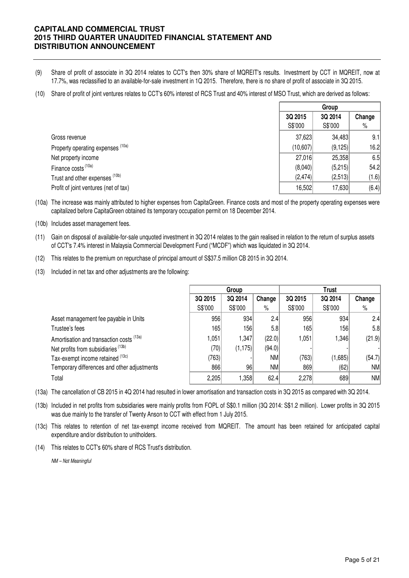- (9) Share of profit of associate in 3Q 2014 relates to CCT's then 30% share of MQREIT's results. Investment by CCT in MQREIT, now at 17.7%, was reclassified to an available-for-sale investment in 1Q 2015. Therefore, there is no share of profit of associate in 3Q 2015.
- (10) Share of profit of joint ventures relates to CCT's 60% interest of RCS Trust and 40% interest of MSO Trust, which are derived as follows:

|                                       |          | Group    |        |
|---------------------------------------|----------|----------|--------|
|                                       | 3Q 2015  | 3Q 2014  | Change |
|                                       | S\$'000  | S\$'000  | $\%$   |
| Gross revenue                         | 37,623   | 34,483   | 9.1    |
| Property operating expenses (10a)     | (10,607) | (9, 125) | 16.2   |
| Net property income                   | 27,016   | 25,358   | 6.5    |
| Finance costs <sup>(10a)</sup>        | (8,040)  | (5,215)  | 54.2   |
| Trust and other expenses (10b)        | (2, 474) | (2,513)  | (1.6)  |
| Profit of joint ventures (net of tax) | 16,502   | 17,630   | (6.4)  |

(10a) The increase was mainly attributed to higher expenses from CapitaGreen. Finance costs and most of the property operating expenses were capitalized before CapitaGreen obtained its temporary occupation permit on 18 December 2014.

(10b) Includes asset management fees.

(11) Gain on disposal of available-for-sale unquoted investment in 3Q 2014 relates to the gain realised in relation to the return of surplus assets of CCT's 7.4% interest in Malaysia Commercial Development Fund ("MCDF") which was liquidated in 3Q 2014.

- (12) This relates to the premium on repurchase of principal amount of S\$37.5 million CB 2015 in 3Q 2014.
- (13) Included in net tax and other adjustments are the following:

|                                             |         | Group    |           | Trust   |         |           |  |
|---------------------------------------------|---------|----------|-----------|---------|---------|-----------|--|
|                                             | 3Q 2015 | 3Q 2014  | Change    | 3Q 2015 | 3Q 2014 | Change    |  |
|                                             | S\$'000 | S\$'000  | $\%$      | S\$'000 | S\$'000 | $\%$      |  |
| Asset management fee payable in Units       | 956     | 934      | 2.4       | 956     | 934     | 2.4       |  |
| Trustee's fees                              | 165     | 156      | 5.8       | 165     | 156     | 5.8       |  |
| Amortisation and transaction costs (13a)    | 1,051   | 1,347    | (22.0)    | 1.051   | ا346. ا | (21.9)    |  |
| Net profits from subsidiaries (13b)         | (70)    | (1, 175) | (94.0)    |         |         |           |  |
| Tax-exempt income retained (13c)            | (763)   |          | <b>NM</b> | (763)   | (1,685) | (54.7)    |  |
| Temporary differences and other adjustments | 866     | 96       | <b>NM</b> | 869     | (62)    | <b>NM</b> |  |
| Total                                       | 2,205   | .358     | 62.4      | 2,278   | 689     | NM        |  |

(13a) The cancellation of CB 2015 in 4Q 2014 had resulted in lower amortisation and transaction costs in 3Q 2015 as compared with 3Q 2014.

(13b) Included in net profits from subsidiaries were mainly profits from FOPL of S\$0.1 million (3Q 2014: S\$1.2 million). Lower profits in 3Q 2015 was due mainly to the transfer of Twenty Anson to CCT with effect from 1 July 2015.

(13c) This relates to retention of net tax-exempt income received from MQREIT. The amount has been retained for anticipated capital expenditure and/or distribution to unitholders.

(14) This relates to CCT's 60% share of RCS Trust's distribution.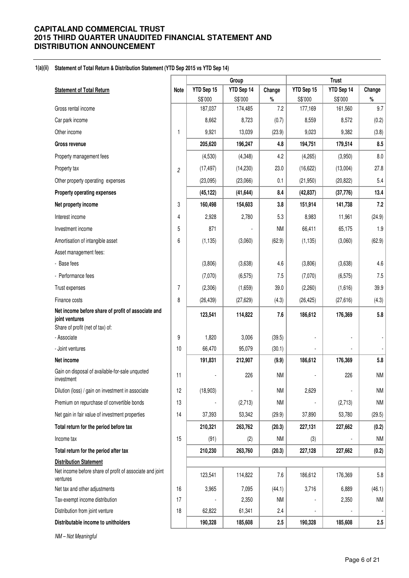#### **1(a)(ii) Statement of Total Return & Distribution Statement (YTD Sep 2015 vs YTD Sep 14)**

|                                                                      |                |                  | Group            | <b>Trust</b> |                  |                  |             |
|----------------------------------------------------------------------|----------------|------------------|------------------|--------------|------------------|------------------|-------------|
| <b>Statement of Total Return</b>                                     | Note           | YTD Sep 15       | YTD Sep 14       | Change       | YTD Sep 15       | YTD Sep 14       | Change      |
| Gross rental income                                                  |                | S\$'000          | S\$'000          | $\%$<br>7.2  | S\$'000          | S\$'000          | $\%$<br>9.7 |
|                                                                      |                | 187,037<br>8,662 | 174,485<br>8,723 | (0.7)        | 177,169<br>8,559 | 161,560<br>8,572 |             |
| Car park income                                                      |                |                  |                  |              |                  |                  | (0.2)       |
| Other income                                                         | $\mathbf{1}$   | 9,921            | 13,039           | (23.9)       | 9,023            | 9,382            | (3.8)       |
| <b>Gross revenue</b>                                                 |                | 205,620          | 196,247          | 4.8          | 194,751          | 179,514          | 8.5         |
| Property management fees                                             |                | (4,530)          | (4,348)          | 4.2          | (4,265)          | (3,950)          | $8.0\,$     |
| Property tax                                                         | $\overline{c}$ | (17, 497)        | (14, 230)        | 23.0         | (16, 622)        | (13,004)         | 27.8        |
| Other property operating expenses                                    |                | (23,095)         | (23,066)         | 0.1          | (21, 950)        | (20, 822)        | 5.4         |
| <b>Property operating expenses</b>                                   |                | (45, 122)        | (41, 644)        | 8.4          | (42, 837)        | (37, 776)        | 13.4        |
| Net property income                                                  | 3              | 160,498          | 154,603          | 3.8          | 151,914          | 141,738          | 7.2         |
| Interest income                                                      | 4              | 2,928            | 2,780            | 5.3          | 8,983            | 11,961           | (24.9)      |
| Investment income                                                    | 5              | 871              |                  | <b>NM</b>    | 66,411           | 65,175           | 1.9         |
| Amortisation of intangible asset                                     | 6              | (1, 135)         | (3,060)          | (62.9)       | (1, 135)         | (3,060)          | (62.9)      |
| Asset management fees:                                               |                |                  |                  |              |                  |                  |             |
| - Base fees                                                          |                | (3,806)          | (3,638)          | 4.6          | (3,806)          | (3,638)          | 4.6         |
| - Performance fees                                                   |                | (7,070)          | (6, 575)         | 7.5          | (7,070)          | (6, 575)         | 7.5         |
| Trust expenses                                                       | $\overline{7}$ | (2,306)          | (1,659)          | 39.0         | (2,260)          | (1,616)          | 39.9        |
| Finance costs                                                        | 8              | (26, 439)        | (27, 629)        | (4.3)        | (26, 425)        | (27, 616)        | (4.3)       |
| Net income before share of profit of associate and<br>joint ventures |                | 123,541          | 114,822          | 7.6          | 186,612          | 176,369          | 5.8         |
| Share of profit (net of tax) of:<br>- Associate                      | 9              | 1,820            | 3,006            | (39.5)       |                  |                  |             |
| - Joint ventures                                                     | 10             | 66,470           | 95,079           | (30.1)       |                  |                  |             |
| Net income                                                           |                | 191,831          | 212,907          | (9.9)        | 186,612          | 176,369          | $5.8\,$     |
| Gain on disposal of available-for-sale unquoted<br>investment        | 11             |                  | 226              | <b>NM</b>    |                  | 226              | <b>NM</b>   |
| Dilution (loss) / gain on investment in associate                    | 12             | (18,903)         |                  | <b>NM</b>    | 2,629            |                  | <b>NM</b>   |
| Premium on repurchase of convertible bonds                           | 13             |                  | (2,713)          | <b>NM</b>    |                  | (2,713)          | <b>NM</b>   |
| Net gain in fair value of investment properties                      | 14             | 37,393           | 53,342           | (29.9)       | 37,890           | 53,780           | (29.5)      |
| Total return for the period before tax                               |                | 210,321          | 263,762          | (20.3)       | 227,131          | 227,662          | (0.2)       |
| Income tax                                                           | 15             | (91)             | (2)              | <b>NM</b>    | (3)              |                  | <b>NM</b>   |
| Total return for the period after tax                                |                | 210,230          | 263,760          | (20.3)       | 227,128          | 227,662          | (0.2)       |
| <b>Distribution Statement</b>                                        |                |                  |                  |              |                  |                  |             |
| Net income before share of profit of associate and joint<br>ventures |                | 123,541          | 114,822          | 7.6          | 186,612          | 176,369          | $5.8\,$     |
| Net tax and other adjustments                                        | 16             | 3,965            | 7,095            | (44.1)       | 3,716            | 6,889            | (46.1)      |
| Tax-exempt income distribution                                       | 17             |                  | 2,350            | ΝM           |                  | 2,350            | <b>NM</b>   |
| Distribution from joint venture                                      | 18             | 62,822           | 61,341           | 2.4          |                  |                  |             |
| Distributable income to unitholders                                  |                | 190,328          | 185,608          | 2.5          | 190,328          | 185,608          | 2.5         |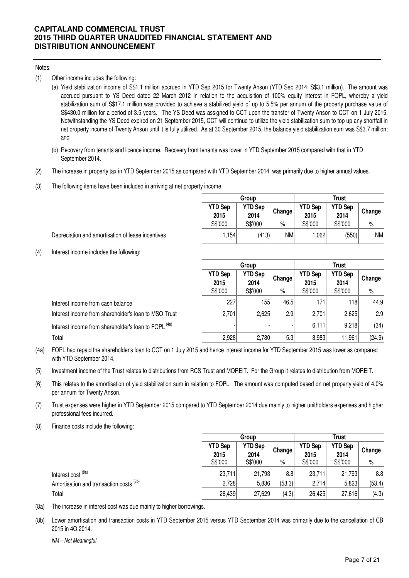#### Notes:

- (1) Other income includes the following:
	- (a) Yield stabilization income of S\$1.1 million accrued in YTD Sep 2015 for Twenty Anson (YTD Sep 2014: S\$3.1 million). The amount was accrued pursuant to YS Deed dated 22 March 2012 in relation to the acquisition of 100% equity interest in FOPL, whereby a yield stabilization sum of S\$17.1 million was provided to achieve a stabilized yield of up to 5.5% per annum of the property purchase value of S\$430.0 million for a period of 3.5 years. The YS Deed was assigned to CCT upon the transfer of Twenty Anson to CCT on 1 July 2015. Notwithstanding the YS Deed expired on 21 September 2015, CCT will continue to utilize the yield stabilization sum to top up any shortfall in net property income of Twenty Anson until it is fully utilized. As at 30 September 2015, the balance yield stabilization sum was S\$3.7 million; and
	- (b) Recovery from tenants and licence income. Recovery from tenants was lower in YTD September 2015 compared with that in YTD September 2014.
- (2) The increase in property tax in YTD September 2015 as compared with YTD September 2014 was primarily due to higher annual values.
- (3) The following items have been included in arriving at net property income:

|                        | Group                  |           |                        | <b>Trust</b>           |        |
|------------------------|------------------------|-----------|------------------------|------------------------|--------|
| <b>YTD Sep</b><br>2015 | <b>YTD Sep</b><br>2014 | Change    | <b>YTD Sep</b><br>2015 | <b>YTD Sep</b><br>2014 | Change |
| S\$'000                | S\$'000                | $\%$      | S\$'000                | S\$'000                | %      |
| 1.154                  | (413)                  | <b>NM</b> | 1,062                  | (550)                  | NM     |

- Depreciation and amortisation of lease incentives
- (4) Interest income includes the following:

|                                                                 |                        | Group                  |        | Trust                  |                        |        |
|-----------------------------------------------------------------|------------------------|------------------------|--------|------------------------|------------------------|--------|
|                                                                 | <b>YTD Sep</b><br>2015 | <b>YTD Sep</b><br>2014 | Change | <b>YTD Sep</b><br>2015 | <b>YTD Sep</b><br>2014 | Change |
|                                                                 | S\$'000                | S\$'000                | $\%$   | S\$'000                | S\$'000                | $\%$   |
| Interest income from cash balance                               | 227                    | 155                    | 46.5   | 171                    | 118                    | 44.9   |
| Interest income from shareholder's loan to MSO Trust            | 2,701                  | 2,625                  | 2.9    | 2,701                  | 2,625                  | 2.9    |
| Interest income from shareholder's loan to FOPL <sup>(4a)</sup> |                        |                        |        | 6,111                  | 9,218                  | (34)   |
| Total                                                           | 2,928                  | 2,780                  | 5.3    | 8,983                  | 11,961                 | (24.9) |

- (4a) FOPL had repaid the shareholder's loan to CCT on 1 July 2015 and hence interest income for YTD September 2015 was lower as compared with YTD September 2014.
- (5) Investment income of the Trust relates to distributions from RCS Trust and MQREIT. For the Group it relates to distribution from MQREIT.
- (6) This relates to the amortisation of yield stabilization sum in relation to FOPL. The amount was computed based on net property yield of 4.0% per annum for Twenty Anson.
- (7) Trust expenses were higher in YTD September 2015 compared to YTD September 2014 due mainly to higher unitholders expenses and higher professional fees incurred.
- (8) Finance costs include the following:

|                                         |                                   | Group                             |             | Trust                             |                                   |                |  |
|-----------------------------------------|-----------------------------------|-----------------------------------|-------------|-----------------------------------|-----------------------------------|----------------|--|
|                                         | <b>YTD Sep</b><br>2015<br>S\$'000 | <b>YTD Sep</b><br>2014<br>S\$'000 | Change<br>% | <b>YTD Sep</b><br>2015<br>S\$'000 | <b>YTD Sep</b><br>2014<br>S\$'000 | Change<br>$\%$ |  |
|                                         |                                   |                                   |             |                                   |                                   |                |  |
| Interest cost <sup>(8a)</sup>           | 23,711                            | 21,793                            | 8.8         | 23,711                            | 21,793                            | 8.8            |  |
| Amortisation and transaction costs (8b) | 2,728                             | 5,836                             | (53.3)      | 2,714                             | 5,823                             | (53.4)         |  |
| Total                                   | 26,439                            | 27,629                            | (4.3)       | 26,425                            | 27,616                            | (4.3)          |  |

- (8a) The increase in interest cost was due mainly to higher borrowings.
- (8b) Lower amortisation and transaction costs in YTD September 2015 versus YTD September 2014 was primarily due to the cancellation of CB 2015 in 4Q 2014.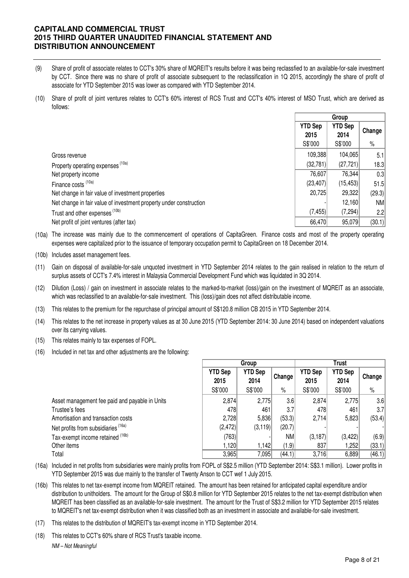- (9) Share of profit of associate relates to CCT's 30% share of MQREIT's results before it was being reclassfied to an available-for-sale investment by CCT. Since there was no share of profit of associate subsequent to the reclassification in 1Q 2015, accordingly the share of profit of associate for YTD September 2015 was lower as compared with YTD September 2014.
- (10) Share of profit of joint ventures relates to CCT's 60% interest of RCS Trust and CCT's 40% interest of MSO Trust, which are derived as follows:

|                                                                    | Group                  |                        |        |
|--------------------------------------------------------------------|------------------------|------------------------|--------|
|                                                                    | <b>YTD Sep</b><br>2015 | <b>YTD Sep</b><br>2014 | Change |
|                                                                    | S\$'000                | S\$'000                | $\%$   |
| Gross revenue                                                      | 109,388                | 104,065                | 5.1    |
| Property operating expenses (10a)                                  | (32, 781)              | (27, 721)              | 18.3   |
| Net property income                                                | 76,607                 | 76,344                 | 0.3    |
| Finance costs (10a)                                                | (23, 407)              | (15, 453)              | 51.5   |
| Net change in fair value of investment properties                  | 20,725                 | 29,322                 | (29.3) |
| Net change in fair value of investment property under construction |                        | 12,160                 | NM     |
| Trust and other expenses <sup>(10b)</sup>                          | (7, 455)               | (7, 294)               | 2.2    |
| Net profit of joint ventures (after tax)                           | 66,470                 | 95,079                 | (30.1) |

- (10a) The increase was mainly due to the commencement of operations of CapitaGreen. Finance costs and most of the property operating expenses were capitalized prior to the issuance of temporary occupation permit to CapitaGreen on 18 December 2014.
- (10b) Includes asset management fees.
- (11) Gain on disposal of available-for-sale unquoted investment in YTD September 2014 relates to the gain realised in relation to the return of surplus assets of CCT's 7.4% interest in Malaysia Commercial Development Fund which was liquidated in 3Q 2014.
- (12) Dilution (Loss) / gain on investment in associate relates to the marked-to-market (loss)/gain on the investment of MQREIT as an associate, which was reclassified to an available-for-sale investment. This (loss)/gain does not affect distributable income.
- (13) This relates to the premium for the repurchase of principal amount of S\$120.8 million CB 2015 in YTD September 2014.
- (14) This relates to the net increase in property values as at 30 June 2015 (YTD September 2014: 30 June 2014) based on independent valuations over its carrying values.
- (15) This relates mainly to tax expenses of FOPL.
- (16) Included in net tax and other adjustments are the following:

|                                                |                        | Group                  |        |                        | Trust                  |        |
|------------------------------------------------|------------------------|------------------------|--------|------------------------|------------------------|--------|
|                                                | <b>YTD Sep</b><br>2015 | <b>YTD Sep</b><br>2014 | Change | <b>YTD Sep</b><br>2015 | <b>YTD Sep</b><br>2014 | Change |
|                                                | S\$'000                | S\$'000                | $\%$   | S\$'000                | S\$'000                | $\%$   |
| Asset management fee paid and payable in Units | 2,874                  | 2,775                  | 3.6    | 2,874                  | 2,775                  | 3.6    |
| Trustee's fees                                 | 478                    | 461                    | 3.7    | 478                    | 461                    | 3.7    |
| Amortisation and transaction costs             | 2,728                  | 5,836                  | (53.3) | 2,714                  | 5,823                  | (53.4) |
| Net profits from subsidiaries (16a)            | (2,472)                | (3, 119)               | (20.7) |                        |                        |        |
| Tax-exempt income retained (16b)               | (763)                  |                        | NM     | (3, 187)               | (3, 422)               | (6.9)  |
| Other items                                    | 1.120                  | 1,142                  | (1.9)  | 837                    | .252                   | (33.1) |
| Total                                          | 3,965                  | 7,095                  | (44.1) | 3,716                  | 6,889                  | (46.1) |

- (16a) Included in net profits from subsidiaries were mainly profits from FOPL of S\$2.5 million (YTD September 2014: S\$3.1 million). Lower profits in YTD September 2015 was due mainly to the transfer of Twenty Anson to CCT wef 1 July 2015.
- (16b) This relates to net tax-exempt income from MQREIT retained. The amount has been retained for anticipated capital expenditure and/or distribution to unitholders. The amount for the Group of S\$0.8 million for YTD September 2015 relates to the net tax-exempt distribution when MQREIT has been classified as an available-for-sale investment. The amount for the Trust of S\$3.2 million for YTD September 2015 relates to MQREIT's net tax-exempt distribution when it was classified both as an investment in associate and available-for-sale investment.
- (17) This relates to the distribution of MQREIT's tax-exempt income in YTD September 2014.
- (18) This relates to CCT's 60% share of RCS Trust's taxable income. NM – Not Meaningful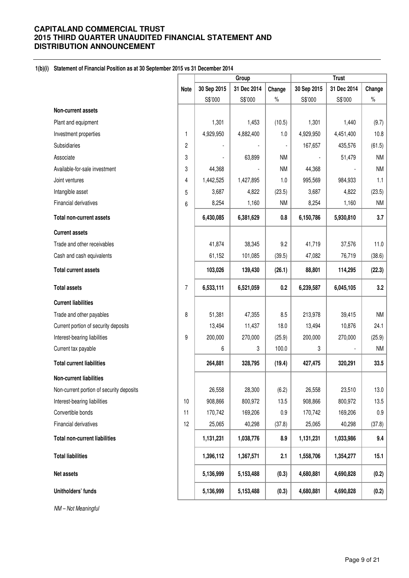### **1(b)(i) Statement of Financial Position as at 30 September 2015 vs 31 December 2014**

|                                          |                |             | Group       |           |             | <b>Trust</b> |           |
|------------------------------------------|----------------|-------------|-------------|-----------|-------------|--------------|-----------|
|                                          | <b>Note</b>    | 30 Sep 2015 | 31 Dec 2014 | Change    | 30 Sep 2015 | 31 Dec 2014  | Change    |
|                                          |                | S\$'000     | S\$'000     | $\%$      | S\$'000     | S\$'000      | $\%$      |
| Non-current assets                       |                |             |             |           |             |              |           |
| Plant and equipment                      |                | 1,301       | 1,453       | (10.5)    | 1,301       | 1,440        | (9.7)     |
| Investment properties                    | 1              | 4,929,950   | 4,882,400   | 1.0       | 4,929,950   | 4,451,400    | 10.8      |
| Subsidiaries                             | $\overline{c}$ |             |             |           | 167,657     | 435,576      | (61.5)    |
| Associate                                | 3              |             | 63,899      | <b>NM</b> |             | 51,479       | <b>NM</b> |
| Available-for-sale investment            | 3              | 44,368      |             | <b>NM</b> | 44,368      |              | <b>NM</b> |
| Joint ventures                           | 4              | 1,442,525   | 1,427,895   | 1.0       | 995,569     | 984,933      | 1.1       |
| Intangible asset                         | 5              | 3,687       | 4,822       | (23.5)    | 3,687       | 4,822        | (23.5)    |
| Financial derivatives                    | 6              | 8,254       | 1,160       | <b>NM</b> | 8,254       | 1,160        | <b>NM</b> |
| <b>Total non-current assets</b>          |                | 6,430,085   | 6,381,629   | 0.8       | 6,150,786   | 5,930,810    | 3.7       |
| <b>Current assets</b>                    |                |             |             |           |             |              |           |
| Trade and other receivables              |                | 41,874      | 38,345      | 9.2       | 41,719      | 37,576       | 11.0      |
| Cash and cash equivalents                |                | 61,152      | 101,085     | (39.5)    | 47,082      | 76,719       | (38.6)    |
| <b>Total current assets</b>              |                | 103,026     | 139,430     | (26.1)    | 88,801      | 114,295      | (22.3)    |
| <b>Total assets</b>                      | $\overline{7}$ | 6,533,111   | 6,521,059   | 0.2       | 6,239,587   | 6,045,105    | 3.2       |
| <b>Current liabilities</b>               |                |             |             |           |             |              |           |
| Trade and other payables                 | 8              | 51,381      | 47,355      | 8.5       | 213,978     | 39,415       | <b>NM</b> |
| Current portion of security deposits     |                | 13,494      | 11,437      | 18.0      | 13,494      | 10,876       | 24.1      |
| Interest-bearing liabilities             | 9              | 200,000     | 270,000     | (25.9)    | 200,000     | 270,000      | (25.9)    |
| Current tax payable                      |                | 6           | 3           | 100.0     | 3           |              | <b>NM</b> |
| <b>Total current liabilities</b>         |                | 264,881     | 328,795     | (19.4)    | 427,475     | 320,291      | 33.5      |
| <b>Non-current liabilities</b>           |                |             |             |           |             |              |           |
| Non-current portion of security deposits |                | 26,558      | 28,300      | (6.2)     | 26,558      | 23,510       | 13.0      |
| Interest-bearing liabilities             | $10$           | 908,866     | 800,972     | 13.5      | 908,866     | 800,972      | 13.5      |
| Convertible bonds                        | 11             | 170,742     | 169,206     | 0.9       | 170,742     | 169,206      | 0.9       |
| Financial derivatives                    | 12             | 25,065      | 40,298      | (37.8)    | 25,065      | 40,298       | (37.8)    |
| <b>Total non-current liabilities</b>     |                | 1,131,231   | 1,038,776   | 8.9       | 1,131,231   | 1,033,986    | 9.4       |
| <b>Total liabilities</b>                 |                | 1,396,112   | 1,367,571   | 2.1       | 1,558,706   | 1,354,277    | 15.1      |
| Net assets                               |                | 5,136,999   | 5,153,488   | (0.3)     | 4,680,881   | 4,690,828    | (0.2)     |
| Unitholders' funds                       |                | 5,136,999   | 5,153,488   | (0.3)     | 4,680,881   | 4,690,828    | (0.2)     |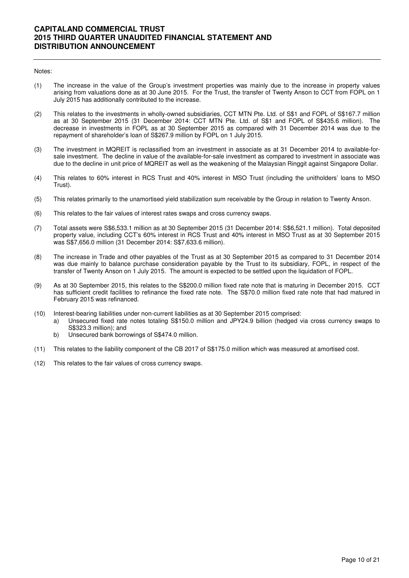#### Notes:

- (1) The increase in the value of the Group's investment properties was mainly due to the increase in property values arising from valuations done as at 30 June 2015. For the Trust, the transfer of Twenty Anson to CCT from FOPL on 1 July 2015 has additionally contributed to the increase.
- (2) This relates to the investments in wholly-owned subsidiaries, CCT MTN Pte. Ltd. of S\$1 and FOPL of S\$167.7 million as at 30 September 2015 (31 December 2014: CCT MTN Pte. Ltd. of S\$1 and FOPL of S\$435.6 million). The decrease in investments in FOPL as at 30 September 2015 as compared with 31 December 2014 was due to the repayment of shareholder's loan of S\$267.9 million by FOPL on 1 July 2015.
- (3) The investment in MQREIT is reclassified from an investment in associate as at 31 December 2014 to available-forsale investment. The decline in value of the available-for-sale investment as compared to investment in associate was due to the decline in unit price of MQREIT as well as the weakening of the Malaysian Ringgit against Singapore Dollar.
- (4) This relates to 60% interest in RCS Trust and 40% interest in MSO Trust (including the unitholders' loans to MSO Trust).
- (5) This relates primarily to the unamortised yield stabilization sum receivable by the Group in relation to Twenty Anson.
- (6) This relates to the fair values of interest rates swaps and cross currency swaps.
- (7) Total assets were S\$6,533.1 million as at 30 September 2015 (31 December 2014: S\$6,521.1 million). Total deposited property value, including CCT's 60% interest in RCS Trust and 40% interest in MSO Trust as at 30 September 2015 was S\$7,656.0 million (31 December 2014: S\$7,633.6 million).
- (8) The increase in Trade and other payables of the Trust as at 30 September 2015 as compared to 31 December 2014 was due mainly to balance purchase consideration payable by the Trust to its subsidiary, FOPL, in respect of the transfer of Twenty Anson on 1 July 2015. The amount is expected to be settled upon the liquidation of FOPL.
- (9) As at 30 September 2015, this relates to the S\$200.0 million fixed rate note that is maturing in December 2015. CCT has sufficient credit facilities to refinance the fixed rate note. The S\$70.0 million fixed rate note that had matured in February 2015 was refinanced.
- (10) Interest-bearing liabilities under non-current liabilities as at 30 September 2015 comprised:
	- a) Unsecured fixed rate notes totaling S\$150.0 million and JPY24.9 billion (hedged via cross currency swaps to S\$323.3 million); and
		- b) Unsecured bank borrowings of S\$474.0 million.
- (11) This relates to the liability component of the CB 2017 of S\$175.0 million which was measured at amortised cost.
- (12) This relates to the fair values of cross currency swaps.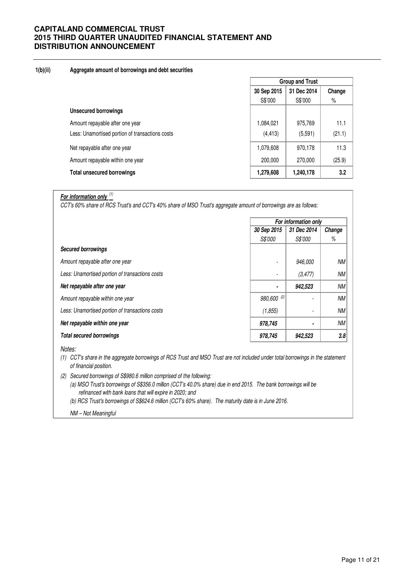### **1(b)(ii) Aggregate amount of borrowings and debt securities**

|                                                 | <b>Group and Trust</b>     |           |        |  |
|-------------------------------------------------|----------------------------|-----------|--------|--|
|                                                 | 31 Dec 2014<br>30 Sep 2015 |           | Change |  |
|                                                 | S\$'000                    | S\$'000   | $\%$   |  |
| <b>Unsecured borrowings</b>                     |                            |           |        |  |
| Amount repayable after one year                 | 1,084,021                  | 975,769   | 11.1   |  |
| Less: Unamortised portion of transactions costs | (4, 413)                   | (5,591)   | (21.1) |  |
| Net repayable after one year                    | 1,079,608                  | 970,178   | 11.3   |  |
| Amount repayable within one year                | 200,000                    | 270,000   | (25.9) |  |
| <b>Total unsecured borrowings</b>               | 1,279,608                  | 1,240,178 | 3.2    |  |

**For information only** (1)

CCT's 60% share of RCS Trust's and CCT's 40% share of MSO Trust's aggregate amount of borrowings are as follows:

|                                                 | For information only       |                |           |  |
|-------------------------------------------------|----------------------------|----------------|-----------|--|
|                                                 | 30 Sep 2015<br>31 Dec 2014 |                | Change    |  |
|                                                 | <i><b>S\$'000</b></i>      | <i>S\$'000</i> | %         |  |
| <b>Secured borrowings</b>                       |                            |                |           |  |
| Amount repayable after one year                 |                            | 946.000        | <b>NM</b> |  |
| Less: Unamortised portion of transactions costs |                            | (3, 477)       | NМ        |  |
| Net repayable after one year                    | ۰                          | 942,523        | <b>NM</b> |  |
| Amount repayable within one year                | 980,600 (2)                |                | <b>NM</b> |  |
| Less: Unamortised portion of transactions costs | (1, 855)                   |                | <b>NM</b> |  |
| Net repayable within one year                   | 978,745                    | ۰              | <b>NM</b> |  |
| <b>Total secured borrowings</b>                 | 978,745                    | 942,523        | 3.8       |  |

Notes:

(1) CCT's share in the aggregate borrowings of RCS Trust and MSO Trust are not included under total borrowings in the statement of financial position.

- (2) Secured borrowings of S\$980.6 million comprised of the following:
	- (a) MSO Trust's borrowings of S\$356.0 million (CCT's 40.0% share) due in end 2015. The bank borrowings will be refinanced with bank loans that will expire in 2020; and
	- (b) RCS Trust's borrowings of S\$624.6 million (CCT's 60% share). The maturity date is in June 2016.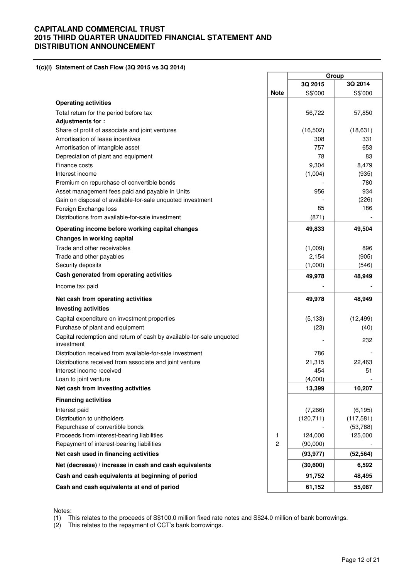**1(c)(i) Statement of Cash Flow (3Q 2015 vs 3Q 2014)** 

|                                                                                    |                | Group      |            |
|------------------------------------------------------------------------------------|----------------|------------|------------|
|                                                                                    |                | 3Q 2015    | 3Q 2014    |
|                                                                                    | <b>Note</b>    | S\$'000    | S\$'000    |
| <b>Operating activities</b>                                                        |                |            |            |
| Total return for the period before tax                                             |                | 56,722     | 57,850     |
| Adjustments for:                                                                   |                |            |            |
| Share of profit of associate and joint ventures                                    |                | (16, 502)  | (18, 631)  |
| Amortisation of lease incentives                                                   |                | 308        | 331        |
| Amortisation of intangible asset                                                   |                | 757        | 653        |
| Depreciation of plant and equipment                                                |                | 78         | 83         |
| Finance costs                                                                      |                | 9,304      | 8,479      |
| Interest income                                                                    |                | (1,004)    | (935)      |
| Premium on repurchase of convertible bonds                                         |                |            | 780        |
| Asset management fees paid and payable in Units                                    |                | 956        | 934        |
| Gain on disposal of available-for-sale unquoted investment                         |                |            | (226)      |
| Foreign Exchange loss                                                              |                | 85         | 186        |
| Distributions from available-for-sale investment                                   |                | (871)      |            |
| Operating income before working capital changes                                    |                | 49,833     | 49,504     |
| <b>Changes in working capital</b>                                                  |                |            |            |
| Trade and other receivables                                                        |                | (1,009)    | 896        |
| Trade and other payables                                                           |                | 2,154      | (905)      |
| Security deposits                                                                  |                | (1,000)    | (546)      |
| Cash generated from operating activities                                           |                | 49,978     | 48,949     |
| Income tax paid                                                                    |                |            |            |
| Net cash from operating activities                                                 |                | 49,978     | 48,949     |
| <b>Investing activities</b>                                                        |                |            |            |
| Capital expenditure on investment properties                                       |                | (5, 133)   | (12, 499)  |
| Purchase of plant and equipment                                                    |                | (23)       | (40)       |
| Capital redemption and return of cash by available-for-sale unquoted<br>investment |                |            | 232        |
| Distribution received from available-for-sale investment                           |                | 786        |            |
| Distributions received from associate and joint venture                            |                | 21,315     | 22,463     |
| Interest income received                                                           |                | 454        | 51         |
| Loan to joint venture                                                              |                | (4,000)    |            |
| Net cash from investing activities                                                 |                | 13,399     | 10,207     |
| <b>Financing activities</b>                                                        |                |            |            |
| Interest paid                                                                      |                | (7,266)    | (6, 195)   |
| Distribution to unitholders                                                        |                | (120, 711) | (117, 581) |
| Repurchase of convertible bonds                                                    |                |            | (53, 788)  |
| Proceeds from interest-bearing liabilities                                         | 1              | 124,000    | 125,000    |
| Repayment of interest-bearing liabilities                                          | $\overline{c}$ | (90,000)   |            |
| Net cash used in financing activities                                              |                | (93, 977)  | (52, 564)  |
| Net (decrease) / increase in cash and cash equivalents                             |                | (30,600)   | 6,592      |
| Cash and cash equivalents at beginning of period                                   |                | 91,752     | 48,495     |
| Cash and cash equivalents at end of period                                         |                | 61,152     | 55,087     |

Notes:

(1) This relates to the proceeds of S\$100.0 million fixed rate notes and S\$24.0 million of bank borrowings.

(2) This relates to the repayment of CCT's bank borrowings.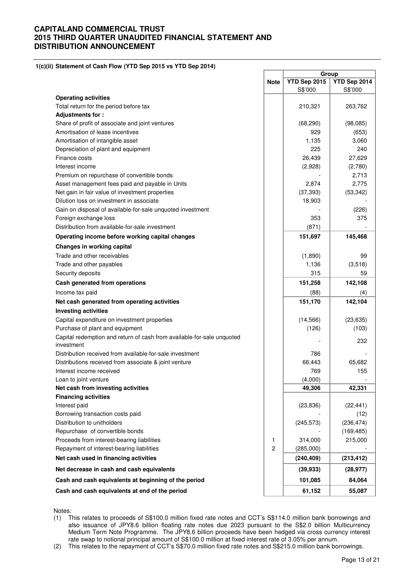**1(c)(ii) Statement of Cash Flow (YTD Sep 2015 vs YTD Sep 2014)**

|                                                                                      |                | Group        |              |
|--------------------------------------------------------------------------------------|----------------|--------------|--------------|
|                                                                                      | <b>Note</b>    | YTD Sep 2015 | YTD Sep 2014 |
|                                                                                      |                | S\$'000      | S\$'000      |
| <b>Operating activities</b>                                                          |                |              |              |
| Total return for the period before tax                                               |                | 210,321      | 263,762      |
| Adjustments for:                                                                     |                |              |              |
| Share of profit of associate and joint ventures                                      |                | (68, 290)    | (98, 085)    |
| Amortisation of lease incentives                                                     |                | 929          | (653)        |
| Amortisation of intangible asset                                                     |                | 1,135        | 3,060        |
| Depreciation of plant and equipment                                                  |                | 225          | 240          |
| Finance costs                                                                        |                | 26,439       | 27,629       |
| Interest income                                                                      |                | (2,928)      | (2,780)      |
| Premium on repurchase of convertible bonds                                           |                |              | 2,713        |
| Asset management fees paid and payable in Units                                      |                | 2,874        | 2,775        |
| Net gain in fair value of investment properties                                      |                | (37, 393)    | (53, 342)    |
| Dilution loss on investment in associate                                             |                | 18,903       |              |
| Gain on disposal of available-for-sale unquoted investment                           |                |              | (226)        |
| Foreign exchange loss                                                                |                | 353          | 375          |
| Distribution from available-for-sale investment                                      |                | (871)        |              |
| Operating income before working capital changes                                      |                | 151,697      | 145,468      |
| Changes in working capital                                                           |                |              |              |
| Trade and other receivables                                                          |                | (1,890)      | 99           |
| Trade and other payables                                                             |                | 1,136        | (3,518)      |
| Security deposits                                                                    |                | 315          | 59           |
| Cash generated from operations                                                       |                | 151,258      | 142,108      |
| Income tax paid                                                                      |                | (88)         | (4)          |
| Net cash generated from operating activities                                         |                | 151,170      | 142,104      |
| <b>Investing activities</b>                                                          |                |              |              |
| Capital expenditure on investment properties                                         |                | (14, 566)    | (23, 635)    |
| Purchase of plant and equipment                                                      |                | (126)        | (103)        |
| Capital redemption and return of cash from available-for-sale unquoted<br>investment |                |              | 232          |
| Distribution received from available-for-sale investment                             |                | 786          |              |
| Distributions received from associate & joint venture                                |                | 66,443       | 65,682       |
| Interest income received                                                             |                | 769          | 155          |
| Loan to joint venture                                                                |                | (4,000)      |              |
| Net cash from investing activities                                                   |                | 49,306       | 42,331       |
| <b>Financing activities</b>                                                          |                |              |              |
| Interest paid                                                                        |                | (23, 836)    | (22, 441)    |
| Borrowing transaction costs paid                                                     |                |              | (12)         |
| Distribution to unitholders                                                          |                | (245, 573)   | (236, 474)   |
| Repurchase of convertible bonds                                                      |                |              | (169, 485)   |
| Proceeds from interest-bearing liabilities                                           | 1              | 314,000      | 215,000      |
| Repayment of interest-bearing liabilities                                            | $\overline{c}$ | (285,000)    |              |
| Net cash used in financing activities                                                |                | (240, 409)   | (213, 412)   |
| Net decrease in cash and cash equivalents                                            |                | (39, 933)    | (28, 977)    |
| Cash and cash equivalents at beginning of the period                                 |                | 101,085      | 84,064       |
| Cash and cash equivalents at end of the period                                       |                | 61,152       | 55,087       |
|                                                                                      |                |              |              |

Notes:

- (1) This relates to proceeds of S\$100.0 million fixed rate notes and CCT's S\$114.0 million bank borrowings and also issuance of JPY8.6 billion floating rate notes due 2023 pursuant to the S\$2.0 billion Multicurrency Medium Term Note Programme. The JPY8.6 billion proceeds have been hedged via cross currency interest rate swap to notional principal amount of S\$100.0 million at fixed interest rate of 3.05% per annum.
- (2) This relates to the repayment of CCT's S\$70.0 million fixed rate notes and S\$215.0 million bank borrowings.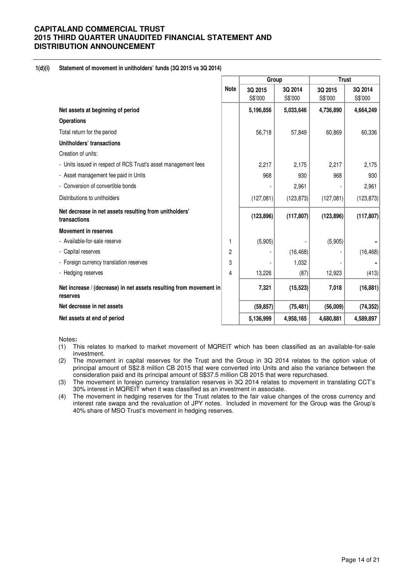### **1(d)(i) Statement of movement in unitholders' funds (3Q 2015 vs 3Q 2014)**

|                                                                                |             | Group      |            | <b>Trust</b> |            |
|--------------------------------------------------------------------------------|-------------|------------|------------|--------------|------------|
|                                                                                | <b>Note</b> | 3Q 2015    | 3Q 2014    | 3Q 2015      | 3Q 2014    |
|                                                                                |             | S\$'000    | S\$'000    | S\$'000      | S\$'000    |
| Net assets at beginning of period                                              |             | 5,196,856  | 5,033,646  | 4,736,890    | 4,664,249  |
| <b>Operations</b>                                                              |             |            |            |              |            |
| Total return for the period                                                    |             | 56,718     | 57,849     | 60,869       | 60,336     |
| Unitholders' transactions                                                      |             |            |            |              |            |
| Creation of units:                                                             |             |            |            |              |            |
| - Units issued in respect of RCS Trust's asset management fees                 |             | 2,217      | 2,175      | 2,217        | 2,175      |
| - Asset management fee paid in Units                                           |             | 968        | 930        | 968          | 930        |
| - Conversion of convertible bonds                                              |             |            | 2,961      |              | 2,961      |
| Distributions to unitholders                                                   |             | (127,081)  | (123, 873) | (127,081)    | (123, 873) |
| Net decrease in net assets resulting from unitholders'<br>transactions         |             | (123, 896) | (117, 807) | (123, 896)   | (117, 807) |
| <b>Movement in reserves</b>                                                    |             |            |            |              |            |
| - Available-for-sale reserve                                                   | 1           | (5,905)    |            | (5,905)      |            |
| - Capital reserves                                                             | 2           |            | (16, 468)  |              | (16, 468)  |
| - Foreign currency translation reserves                                        | 3           |            | 1,032      |              |            |
| - Hedging reserves                                                             | 4           | 13,226     | (87)       | 12,923       | (413)      |
| Net increase / (decrease) in net assets resulting from movement in<br>reserves |             | 7,321      | (15, 523)  | 7,018        | (16, 881)  |
| Net decrease in net assets                                                     |             | (59, 857)  | (75, 481)  | (56,009)     | (74, 352)  |
| Net assets at end of period                                                    |             | 5,136,999  | 4,958,165  | 4,680,881    | 4,589,897  |

Notes**:** 

- (1) This relates to marked to market movement of MQREIT which has been classified as an available-for-sale investment.
- (2) The movement in capital reserves for the Trust and the Group in 3Q 2014 relates to the option value of principal amount of S\$2.8 million CB 2015 that were converted into Units and also the variance between the consideration paid and its principal amount of S\$37.5 million CB 2015 that were repurchased.
- (3) The movement in foreign currency translation reserves in 3Q 2014 relates to movement in translating CCT's 30% interest in MQREIT when it was classified as an investment in associate.
- (4) The movement in hedging reserves for the Trust relates to the fair value changes of the cross currency and interest rate swaps and the revaluation of JPY notes. Included in movement for the Group was the Group's 40% share of MSO Trust's movement in hedging reserves.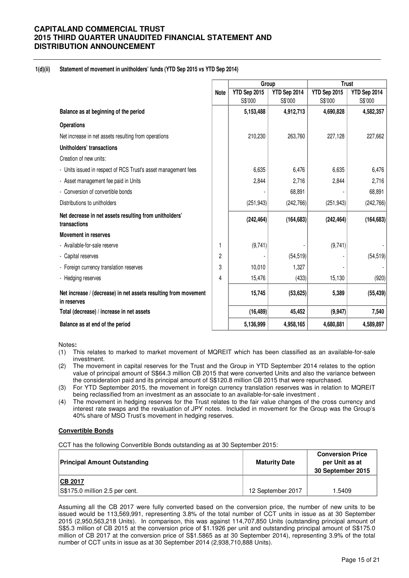#### **1(d)(ii) Statement of movement in unitholders' funds (YTD Sep 2015 vs YTD Sep 2014)**

|                                                                                |             | Group        |              |              |              | <b>Trust</b> |  |
|--------------------------------------------------------------------------------|-------------|--------------|--------------|--------------|--------------|--------------|--|
|                                                                                | <b>Note</b> | YTD Sep 2015 | YTD Sep 2014 | YTD Sep 2015 | YTD Sep 2014 |              |  |
|                                                                                |             | S\$'000      | S\$'000      | S\$'000      | S\$'000      |              |  |
| Balance as at beginning of the period                                          |             | 5,153,488    | 4,912,713    | 4,690,828    | 4,582,357    |              |  |
| <b>Operations</b>                                                              |             |              |              |              |              |              |  |
| Net increase in net assets resulting from operations                           |             | 210,230      | 263,760      | 227,128      | 227,662      |              |  |
| Unitholders' transactions                                                      |             |              |              |              |              |              |  |
| Creation of new units:                                                         |             |              |              |              |              |              |  |
| - Units issued in respect of RCS Trust's asset management fees                 |             | 6,635        | 6,476        | 6,635        | 6,476        |              |  |
| - Asset management fee paid in Units                                           |             | 2,844        | 2,716        | 2,844        | 2,716        |              |  |
| - Conversion of convertible bonds                                              |             |              | 68,891       |              | 68,891       |              |  |
| Distributions to unitholders                                                   |             | (251, 943)   | (242, 766)   | (251, 943)   | (242, 766)   |              |  |
| Net decrease in net assets resulting from unitholders'<br>transactions         |             | (242, 464)   | (164, 683)   | (242, 464)   | (164, 683)   |              |  |
| <b>Movement in reserves</b>                                                    |             |              |              |              |              |              |  |
| - Available-for-sale reserve                                                   | 1           | (9,741)      |              | (9,741)      |              |              |  |
| - Capital reserves                                                             | 2           |              | (54, 519)    |              | (54, 519)    |              |  |
| - Foreign currency translation reserves                                        | 3           | 10,010       | 1,327        |              |              |              |  |
| - Hedging reserves                                                             | 4           | 15,476       | (433)        | 15,130       | (920)        |              |  |
| Net increase / (decrease) in net assets resulting from movement<br>in reserves |             | 15,745       | (53, 625)    | 5,389        | (55, 439)    |              |  |
| Total (decrease) / increase in net assets                                      |             | (16, 489)    | 45,452       | (9, 947)     | 7,540        |              |  |
| Balance as at end of the period                                                |             | 5,136,999    | 4,958,165    | 4,680,881    | 4,589,897    |              |  |

Notes**:** 

- (1) This relates to marked to market movement of MQREIT which has been classified as an available-for-sale investment.
- (2) The movement in capital reserves for the Trust and the Group in YTD September 2014 relates to the option value of principal amount of S\$64.3 million CB 2015 that were converted Units and also the variance between the consideration paid and its principal amount of S\$120.8 million CB 2015 that were repurchased.
- (3) For YTD September 2015, the movement in foreign currency translation reserves was in relation to MQREIT being reclassified from an investment as an associate to an available-for-sale investment .
- (4) The movement in hedging reserves for the Trust relates to the fair value changes of the cross currency and interest rate swaps and the revaluation of JPY notes. Included in movement for the Group was the Group's 40% share of MSO Trust's movement in hedging reserves.

#### **Convertible Bonds**

CCT has the following Convertible Bonds outstanding as at 30 September 2015:

| <b>Principal Amount Outstanding</b> | <b>Maturity Date</b> | <b>Conversion Price</b><br>per Unit as at<br>30 September 2015 |
|-------------------------------------|----------------------|----------------------------------------------------------------|
| CB 2017                             |                      |                                                                |
| S\$175.0 million 2.5 per cent.      | 12 September 2017    | 1.5409                                                         |

Assuming all the CB 2017 were fully converted based on the conversion price, the number of new units to be issued would be 113,569,991, representing 3.8% of the total number of CCT units in issue as at 30 September 2015 (2,950,563,218 Units). In comparison, this was against 114,707,850 Units (outstanding principal amount of S\$5.3 million of CB 2015 at the conversion price of \$1.1926 per unit and outstanding principal amount of S\$175.0 million of CB 2017 at the conversion price of S\$1.5865 as at 30 September 2014), representing 3.9% of the total number of CCT units in issue as at 30 September 2014 (2,938,710,888 Units).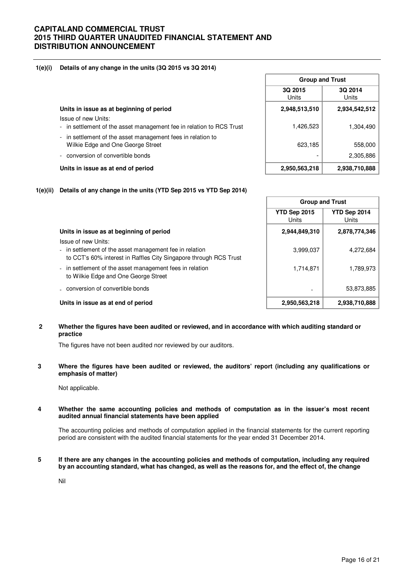#### **1(e)(i) Details of any change in the units (3Q 2015 vs 3Q 2014)**

|                                                                                                  | <b>Group and Trust</b>  |                  |
|--------------------------------------------------------------------------------------------------|-------------------------|------------------|
|                                                                                                  | 3Q 2015<br><b>Units</b> | 3Q 2014<br>Units |
| Units in issue as at beginning of period                                                         | 2,948,513,510           | 2,934,542,512    |
| Issue of new Units:<br>- in settlement of the asset management fee in relation to RCS Trust      | 1,426,523               | 1,304,490        |
| - in settlement of the asset management fees in relation to<br>Wilkie Edge and One George Street | 623,185                 | 558,000          |
| conversion of convertible bonds                                                                  |                         | 2,305,886        |
| Units in issue as at end of period                                                               | 2,950,563,218           | 2,938,710,888    |

f



|                                                                                                                                                     | <b>Group and Trust</b>   |                       |  |
|-----------------------------------------------------------------------------------------------------------------------------------------------------|--------------------------|-----------------------|--|
|                                                                                                                                                     | YTD Sep 2015<br>Units    | YTD Sep 2014<br>Units |  |
| Units in issue as at beginning of period                                                                                                            | 2,944,849,310            | 2,878,774,346         |  |
| Issue of new Units:<br>- in settlement of the asset management fee in relation<br>to CCT's 60% interest in Raffles City Singapore through RCS Trust | 3,999,037                | 4,272,684             |  |
| - in settlement of the asset management fees in relation<br>to Wilkie Edge and One George Street                                                    | 1,714,871                | 1,789,973             |  |
| conversion of convertible bonds                                                                                                                     | $\overline{\phantom{0}}$ | 53,873,885            |  |
| Units in issue as at end of period                                                                                                                  | 2,950,563,218            | 2,938,710,888         |  |

**2 Whether the figures have been audited or reviewed, and in accordance with which auditing standard or practice** 

The figures have not been audited nor reviewed by our auditors.

**3 Where the figures have been audited or reviewed, the auditors' report (including any qualifications or emphasis of matter)** 

Not applicable.

#### **4 Whether the same accounting policies and methods of computation as in the issuer's most recent audited annual financial statements have been applied**

The accounting policies and methods of computation applied in the financial statements for the current reporting period are consistent with the audited financial statements for the year ended 31 December 2014.

**5 If there are any changes in the accounting policies and methods of computation, including any required by an accounting standard, what has changed, as well as the reasons for, and the effect of, the change**

Nil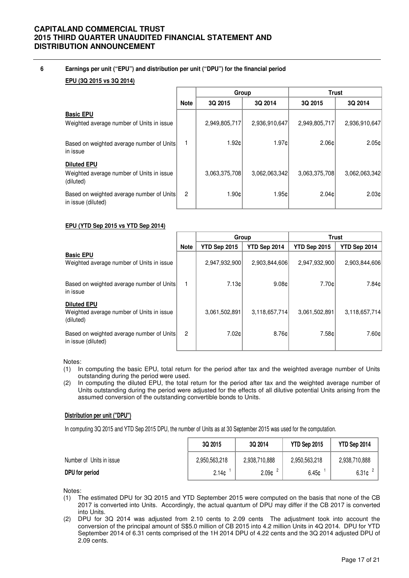### **6 Earnings per unit ("EPU") and distribution per unit ("DPU") for the financial period**

### **EPU (3Q 2015 vs 3Q 2014)**

|                                                                              |                | Group           |               | <b>Trust</b>      |                 |  |
|------------------------------------------------------------------------------|----------------|-----------------|---------------|-------------------|-----------------|--|
|                                                                              | <b>Note</b>    | 3Q 2015         | 3Q 2014       | 3Q 2015           | 3Q 2014         |  |
| <b>Basic EPU</b><br>Weighted average number of Units in issue                |                | 2,949,805,717   | 2,936,910,647 | 2,949,805,717     | 2,936,910,647   |  |
| Based on weighted average number of Units<br>in issue                        |                | 1.92¢           | 1.97c         | 2.06c             | 2.05c           |  |
| <b>Diluted EPU</b><br>Weighted average number of Units in issue<br>(diluted) |                | 3,063,375,708   | 3,062,063,342 | 3,063,375,708     | 3,062,063,342   |  |
| Based on weighted average number of Units<br>in issue (diluted)              | $\overline{2}$ | $1.90 \text{C}$ | 1.95c         | 2.04 <sub>c</sub> | $2.03 \text{C}$ |  |

#### **EPU (YTD Sep 2015 vs YTD Sep 2014)**

|                                                                              |             | Group               |               | <b>Trust</b>  |               |  |
|------------------------------------------------------------------------------|-------------|---------------------|---------------|---------------|---------------|--|
|                                                                              | <b>Note</b> | <b>YTD Sep 2015</b> | YTD Sep 2014  | YTD Sep 2015  | YTD Sep 2014  |  |
| <b>Basic EPU</b><br>Weighted average number of Units in issue                |             | 2,947,932,900       | 2,903,844,606 | 2,947,932,900 | 2,903,844,606 |  |
| Based on weighted average number of Units<br>in issue                        |             | 7.13c               | 9.08c         | 7.70c         | 7.84c         |  |
| <b>Diluted EPU</b><br>Weighted average number of Units in issue<br>(diluted) |             | 3.061.502.891       | 3,118,657,714 | 3.061.502.891 | 3,118,657,714 |  |
| Based on weighted average number of Units<br>in issue (diluted)              | 2           | 7.02 <sub>c</sub>   | 8.76cl        | 7.58c         | 7.60c         |  |

Notes:

- (1) In computing the basic EPU, total return for the period after tax and the weighted average number of Units outstanding during the period were used.
- (2) In computing the diluted EPU, the total return for the period after tax and the weighted average number of Units outstanding during the period were adjusted for the effects of all dilutive potential Units arising from the assumed conversion of the outstanding convertible bonds to Units.

### **Distribution per unit ("DPU")**

In computing 3Q 2015 and YTD Sep 2015 DPU, the number of Units as at 30 September 2015 was used for the computation.

|                          | 3Q 2015           | 3Q 2014           | YTD Sep 2015  | YTD Sep 2014  |
|--------------------------|-------------------|-------------------|---------------|---------------|
| Number of Units in issue | 2,950,563,218     | 2,938,710,888     | 2,950,563,218 | 2,938,710,888 |
| DPU for period           | 2.14 <sub>c</sub> | 2.09 <sub>¢</sub> | 6.45c         | 6.31c         |

Notes:

- (1) The estimated DPU for 3Q 2015 and YTD September 2015 were computed on the basis that none of the CB 2017 is converted into Units. Accordingly, the actual quantum of DPU may differ if the CB 2017 is converted into Units.
- (2) DPU for 3Q 2014 was adjusted from 2.10 cents to 2.09 cents The adjustment took into account the conversion of the principal amount of S\$5.0 million of CB 2015 into 4.2 million Units in 4Q 2014. DPU for YTD September 2014 of 6.31 cents comprised of the 1H 2014 DPU of 4.22 cents and the 3Q 2014 adjusted DPU of 2.09 cents.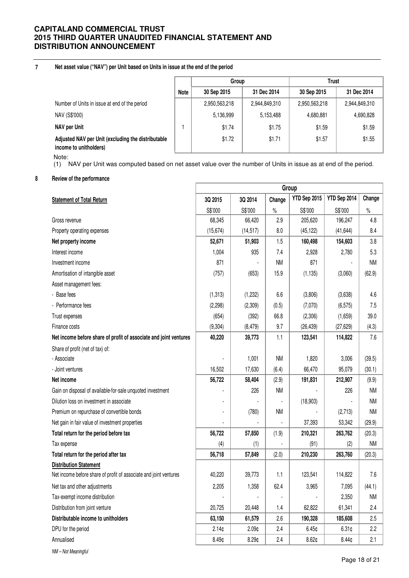#### **7 Net asset value ("NAV") per Unit based on Units in issue at the end of the period**

|                                                                              |             | Group         |               | Trust         |               |  |
|------------------------------------------------------------------------------|-------------|---------------|---------------|---------------|---------------|--|
|                                                                              | <b>Note</b> | 30 Sep 2015   | 31 Dec 2014   | 30 Sep 2015   | 31 Dec 2014   |  |
| Number of Units in issue at end of the period                                |             | 2,950,563,218 | 2,944,849,310 | 2,950,563,218 | 2,944,849,310 |  |
| NAV (S\$'000)                                                                |             | 5,136,999     | 5,153,488     | 4,680,881     | 4,690,828     |  |
| NAV per Unit                                                                 |             | \$1.74        | \$1.75        | \$1.59        | \$1.59        |  |
| Adjusted NAV per Unit (excluding the distributable<br>income to unitholders) |             | \$1.72        | \$1.71        | \$1.57        | \$1.55        |  |

Note:

(1) NAV per Unit was computed based on net asset value over the number of Units in issue as at end of the period.

### **8 Review of the performance**

|                                                                   | Group             |                   |           |              |              |           |
|-------------------------------------------------------------------|-------------------|-------------------|-----------|--------------|--------------|-----------|
| <b>Statement of Total Return</b>                                  | 3Q 2015           | 3Q 2014           | Change    | YTD Sep 2015 | YTD Sep 2014 | Change    |
|                                                                   | S\$'000           | S\$'000           | $\%$      | S\$'000      | S\$'000      | $\%$      |
| Gross revenue                                                     | 68,345            | 66,420            | 2.9       | 205,620      | 196,247      | 4.8       |
| Property operating expenses                                       | (15, 674)         | (14, 517)         | 8.0       | (45, 122)    | (41, 644)    | 8.4       |
| Net property income                                               | 52,671            | 51,903            | 1.5       | 160,498      | 154,603      | 3.8       |
| Interest income                                                   | 1,004             | 935               | 7.4       | 2,928        | 2,780        | 5.3       |
| Investment income                                                 | 871               |                   | <b>NM</b> | 871          |              | ΝM        |
| Amortisation of intangible asset                                  | (757)             | (653)             | 15.9      | (1, 135)     | (3,060)      | (62.9)    |
| Asset management fees:                                            |                   |                   |           |              |              |           |
| - Base fees                                                       | (1, 313)          | (1, 232)          | 6.6       | (3,806)      | (3,638)      | 4.6       |
| - Performance fees                                                | (2, 298)          | (2,309)           | (0.5)     | (7,070)      | (6, 575)     | 7.5       |
| Trust expenses                                                    | (654)             | (392)             | 66.8      | (2,306)      | (1,659)      | 39.0      |
| Finance costs                                                     | (9, 304)          | (8, 479)          | 9.7       | (26, 439)    | (27, 629)    | (4.3)     |
| Net income before share of profit of associate and joint ventures | 40,220            | 39,773            | 1.1       | 123,541      | 114,822      | 7.6       |
| Share of profit (net of tax) of:                                  |                   |                   |           |              |              |           |
| - Associate                                                       |                   | 1,001             | <b>NM</b> | 1,820        | 3,006        | (39.5)    |
| - Joint ventures                                                  | 16,502            | 17,630            | (6.4)     | 66,470       | 95,079       | (30.1)    |
| Net income                                                        | 56,722            | 58,404            | (2.9)     | 191,831      | 212,907      | (9.9)     |
| Gain on disposal of available-for-sale unquoted investment        |                   | 226               | <b>NM</b> |              | 226          | <b>NM</b> |
| Dilution loss on investment in associate                          |                   |                   |           | (18, 903)    |              | <b>NM</b> |
| Premium on repurchase of convertible bonds                        |                   | (780)             | <b>NM</b> |              | (2,713)      | <b>NM</b> |
| Net gain in fair value of investment properties                   |                   |                   |           | 37,393       | 53,342       | (29.9)    |
| Total return for the period before tax                            | 56,722            | 57,850            | (1.9)     | 210,321      | 263,762      | (20.3)    |
| Tax expense                                                       | (4)               | (1)               |           | (91)         | (2)          | ΝM        |
| Total return for the period after tax                             | 56,718            | 57,849            | (2.0)     | 210,230      | 263,760      | (20.3)    |
| <b>Distribution Statement</b>                                     |                   |                   |           |              |              |           |
| Net income before share of profit of associate and joint ventures | 40,220            | 39,773            | 1.1       | 123,541      | 114,822      | 7.6       |
| Net tax and other adjustments                                     | 2,205             | 1,358             | 62.4      | 3,965        | 7,095        | (44.1)    |
| Tax-exempt income distribution                                    |                   |                   |           |              | 2,350        | NM        |
| Distribution from joint venture                                   | 20,725            | 20,448            | 1.4       | 62,822       | 61,341       | 2.4       |
| Distributable income to unitholders                               | 63,150            | 61,579            | 2.6       | 190,328      | 185,608      | 2.5       |
| DPU for the period                                                | 2.14c             | 2.09 <sub>¢</sub> | 2.4       | 6.45c        | 6.31¢        | 2.2       |
| Annualised                                                        | 8.49 <sub>¢</sub> | 8.29 <sub>¢</sub> | 2.4       | 8.62¢        | 8.44¢        | 2.1       |
| NM - Not Meaningful                                               |                   |                   |           |              |              |           |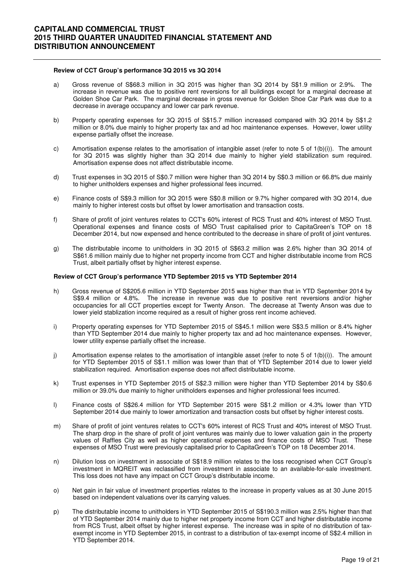#### **Review of CCT Group's performance 3Q 2015 vs 3Q 2014**

- a) Gross revenue of S\$68.3 million in 3Q 2015 was higher than 3Q 2014 by S\$1.9 million or 2.9%. The increase in revenue was due to positive rent reversions for all buildings except for a marginal decrease at Golden Shoe Car Park. The marginal decrease in gross revenue for Golden Shoe Car Park was due to a decrease in average occupancy and lower car park revenue.
- b) Property operating expenses for 3Q 2015 of S\$15.7 million increased compared with 3Q 2014 by S\$1.2 million or 8.0% due mainly to higher property tax and ad hoc maintenance expenses. However, lower utility expense partially offset the increase.
- c) Amortisation expense relates to the amortisation of intangible asset (refer to note 5 of 1(b)(i)). The amount for 3Q 2015 was slightly higher than 3Q 2014 due mainly to higher yield stabilization sum required. Amortisation expense does not affect distributable income.
- d) Trust expenses in 3Q 2015 of S\$0.7 million were higher than 3Q 2014 by S\$0.3 million or 66.8% due mainly to higher unitholders expenses and higher professional fees incurred.
- e) Finance costs of S\$9.3 million for 3Q 2015 were S\$0.8 million or 9.7% higher compared with 3Q 2014, due mainly to higher interest costs but offset by lower amortisation and transaction costs.
- f) Share of profit of joint ventures relates to CCT's 60% interest of RCS Trust and 40% interest of MSO Trust. Operational expenses and finance costs of MSO Trust capitalised prior to CapitaGreen's TOP on 18 December 2014, but now expensed and hence contributed to the decrease in share of profit of joint ventures.
- g) The distributable income to unitholders in 3Q 2015 of S\$63.2 million was 2.6% higher than 3Q 2014 of S\$61.6 million mainly due to higher net property income from CCT and higher distributable income from RCS Trust, albeit partially offset by higher interest expense.

#### **Review of CCT Group's performance YTD September 2015 vs YTD September 2014**

- h) Gross revenue of S\$205.6 million in YTD September 2015 was higher than that in YTD September 2014 by S\$9.4 million or 4.8%. The increase in revenue was due to positive rent reversions and/or higher occupancies for all CCT properties except for Twenty Anson. The decrease at Twenty Anson was due to lower yield stablization income required as a result of higher gross rent income achieved.
- i) Property operating expenses for YTD September 2015 of S\$45.1 million were S\$3.5 million or 8.4% higher than YTD September 2014 due mainly to higher property tax and ad hoc maintenance expenses. However, lower utility expense partially offset the increase.
- j) Amortisation expense relates to the amortisation of intangible asset (refer to note 5 of 1(b)(i)). The amount for YTD September 2015 of S\$1.1 million was lower than that of YTD September 2014 due to lower yield stabilization required. Amortisation expense does not affect distributable income.
- k) Trust expenses in YTD September 2015 of S\$2.3 million were higher than YTD September 2014 by S\$0.6 million or 39.0% due mainly to higher unitholders expenses and higher professional fees incurred.
- l) Finance costs of S\$26.4 million for YTD September 2015 were S\$1.2 million or 4.3% lower than YTD September 2014 due mainly to lower amortization and transaction costs but offset by higher interest costs.
- m) Share of profit of joint ventures relates to CCT's 60% interest of RCS Trust and 40% interest of MSO Trust. The sharp drop in the share of profit of joint ventures was mainly due to lower valuation gain in the property values of Raffles City as well as higher operational expenses and finance costs of MSO Trust. These expenses of MSO Trust were previously capitalised prior to CapitaGreen's TOP on 18 December 2014.
- n) Dilution loss on investment in associate of S\$18.9 million relates to the loss recognised when CCT Group's investment in MQREIT was reclassified from investment in associate to an available-for-sale investment. This loss does not have any impact on CCT Group's distributable income.
- o) Net gain in fair value of investment properties relates to the increase in property values as at 30 June 2015 based on independent valuations over its carrying values.
- p) The distributable income to unitholders in YTD September 2015 of S\$190.3 million was 2.5% higher than that of YTD September 2014 mainly due to higher net property income from CCT and higher distributable income from RCS Trust, albeit offset by higher interest expense. The increase was in spite of no distribution of taxexempt income in YTD September 2015, in contrast to a distribution of tax-exempt income of S\$2.4 million in YTD September 2014.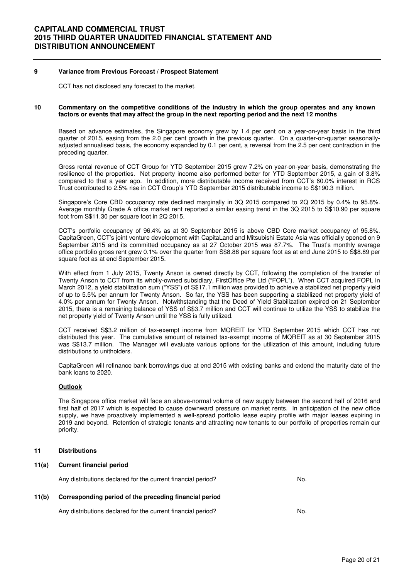#### **9 Variance from Previous Forecast / Prospect Statement**

CCT has not disclosed any forecast to the market.

#### **10 Commentary on the competitive conditions of the industry in which the group operates and any known factors or events that may affect the group in the next reporting period and the next 12 months**

Based on advance estimates, the Singapore economy grew by 1.4 per cent on a year-on-year basis in the third quarter of 2015, easing from the 2.0 per cent growth in the previous quarter. On a quarter-on-quarter seasonallyadjusted annualised basis, the economy expanded by 0.1 per cent, a reversal from the 2.5 per cent contraction in the preceding quarter.

 Gross rental revenue of CCT Group for YTD September 2015 grew 7.2% on year-on-year basis, demonstrating the resilience of the properties. Net property income also performed better for YTD September 2015, a gain of 3.8% compared to that a year ago. In addition, more distributable income received from CCT's 60.0% interest in RCS Trust contributed to 2.5% rise in CCT Group's YTD September 2015 distributable income to S\$190.3 million.

 Singapore's Core CBD occupancy rate declined marginally in 3Q 2015 compared to 2Q 2015 by 0.4% to 95.8%. Average monthly Grade A office market rent reported a similar easing trend in the 3Q 2015 to S\$10.90 per square foot from S\$11.30 per square foot in 2Q 2015.

 CCT's portfolio occupancy of 96.4% as at 30 September 2015 is above CBD Core market occupancy of 95.8%. CapitaGreen, CCT's joint venture development with CapitaLand and Mitsubishi Estate Asia was officially opened on 9 September 2015 and its committed occupancy as at 27 October 2015 was 87.7%. The Trust's monthly average office portfolio gross rent grew 0.1% over the quarter from S\$8.88 per square foot as at end June 2015 to S\$8.89 per square foot as at end September 2015.

With effect from 1 July 2015, Twenty Anson is owned directly by CCT, following the completion of the transfer of Twenty Anson to CCT from its wholly-owned subsidiary, FirstOffice Pte Ltd ("FOPL"). When CCT acquired FOPL in March 2012, a yield stabilization sum ("YSS") of S\$17.1 million was provided to achieve a stabilized net property yield of up to 5.5% per annum for Twenty Anson. So far, the YSS has been supporting a stabilized net property yield of 4.0% per annum for Twenty Anson. Notwithstanding that the Deed of Yield Stabilization expired on 21 September 2015, there is a remaining balance of YSS of S\$3.7 million and CCT will continue to utilize the YSS to stabilize the net property yield of Twenty Anson until the YSS is fully utilized.

 CCT received S\$3.2 million of tax-exempt income from MQREIT for YTD September 2015 which CCT has not distributed this year. The cumulative amount of retained tax-exempt income of MQREIT as at 30 September 2015 was S\$13.7 million. The Manager will evaluate various options for the utilization of this amount, including future distributions to unitholders.

 CapitaGreen will refinance bank borrowings due at end 2015 with existing banks and extend the maturity date of the bank loans to 2020.

#### **Outlook**

The Singapore office market will face an above-normal volume of new supply between the second half of 2016 and first half of 2017 which is expected to cause downward pressure on market rents. In anticipation of the new office supply, we have proactively implemented a well-spread portfolio lease expiry profile with major leases expiring in 2019 and beyond. Retention of strategic tenants and attracting new tenants to our portfolio of properties remain our priority.

#### **11 Distributions**

#### **11(a) Current financial period**

Any distributions declared for the current financial period? No.

### **11(b) Corresponding period of the preceding financial period**

Any distributions declared for the current financial period? No.